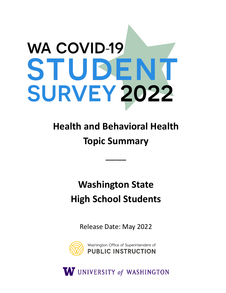# **WA COVID-19** STUDEN **SURVEY 2022**

# **Health and Behavioral Health Topic Summary**

\_\_\_\_

## **Washington State High School Students**

Release Date: May 2022



W UNIVERSITY of WASHINGTON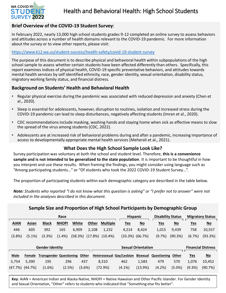

## **Brief Overview of the COVID-19 Student Survey**:

In February 2022, nearly 13,000 high school students grades 9-12 completed an online survey to assess behaviors and attitudes across a number of health domains relevant to the COVID-19 pandemic. For more information about the survey or to view other reports, please visit:

## <https://www.k12.wa.us/student-success/health-safety/covid-19-student-survey>

The purpose of this document is to describe physical and behavioral health within subpopulations of the high school sample to assess whether certain students have been affected differently than others. Specifically, this report examines indices of physical health, COVID-19 specific preventative behaviors, and attitudes towards mental health services by self identified ethnicity, race, gender identity, sexual orientation, disability status, migratory working family status, and financial distress.

## **Background on Students' Health and Behavioral Health**

- Regular physical exercise during the pandemic was associated with reduced depression and anxiety (Chen et al., 2020).
- Sleep is essential for adolescents, however, disruption to routines, isolation and increased stress during the COVID-19 pandemic can lead to sleep disturbances, negatively affecting students (Imran et al., 2020).
- CDC recommendations include masking, washing hands and staying home when sick as effective means to slow the spread of the virus among students (CDC, 2022).
- Adolescents are at increased risk of behavioral problems during and after a pandemic, increasing importance of access to developmentally appropriate mental health services (Meherali et al., 2021).

## **What Does the High School Sample Look Like?**

Survey participation was voluntary at both the school and student level. Therefore, **this is a convenience sample and is not intended to be generalized to the state population**. It is important to be thoughtful in how you interpret and use these results. When framing the findings, you might consider using language such as "Among participating students…" or "Of students who took the 2022 COVID-19 Student Survey…".

The proportion of participating students within each demographic category are described in the table below.

*Note: Students who reported "I do not know what this question is asking" or "I prefer not to answer" were not included in the analyses described in this document.* 

| Sample Size and Proportion of High School Participants by Demographic Group |           |                                |              |         |              |                 |  |                          |                           |                          |                           |                         |                           |  |
|-----------------------------------------------------------------------------|-----------|--------------------------------|--------------|---------|--------------|-----------------|--|--------------------------|---------------------------|--------------------------|---------------------------|-------------------------|---------------------------|--|
| Race                                                                        |           |                                |              |         |              |                 |  | <b>Hispanic</b>          |                           | <b>Disability Status</b> |                           | <b>Migratory Status</b> |                           |  |
| <b>AIAN</b>                                                                 | Asian     | <b>Black</b>                   | <b>NHOPI</b> | White   | <b>Other</b> | <b>Multiple</b> |  | <u>Yes</u>               | $\underline{\mathsf{No}}$ | <u>Yes</u>               | $\underline{\mathsf{No}}$ | <u>Yes</u>              | $\underline{\mathsf{No}}$ |  |
| 446                                                                         | 605       | 392                            | 165          | 6,909   | 2,108        | 1,232           |  | 4,214                    | 8,424                     | 1,015                    | 9,439                     | 758                     | 10,557                    |  |
| (3.8%)                                                                      | $(5.1\%)$ | (3.3%)                         | $(1.4\%)$    | (58.3%) | (17.8%)      | $(10.4\%)$      |  | $(33.3\%)$ $(66.7\%)$    |                           | (9.7%)                   | (90.3%)                   | (6.7%)                  | (93.3%)                   |  |
|                                                                             |           |                                |              |         |              |                 |  |                          |                           |                          |                           |                         |                           |  |
| <b>Gender Identity</b>                                                      |           |                                |              |         |              |                 |  |                          | <b>Sexual Orientation</b> |                          |                           |                         | <b>Financial Distress</b> |  |
| <b>Male</b>                                                                 | Female    | <b>Transgender Questioning</b> |              | Other   |              |                 |  | Heterosexual Gay/Lesbian | <b>Bisexual</b>           | Questioning              | Other                     | <b>Yes</b>              | $\underline{\mathsf{No}}$ |  |
| 5,754                                                                       | 5,390     | 195                            | 296          | 437     |              | 8,310           |  | 462                      | 1,583                     | 479                      | 570                       | 1,076                   | 10,452                    |  |
| $(47.7\%)$ $(44.7\%)$                                                       |           | (1.6%)                         | (2.5%)       | (3.6%)  |              | (72.9%)         |  | $(4.1\%)$                | (13.9%)                   | (4.2%)                   | $(5.0\%)$                 | (9.3%)                  | (90.7%)                   |  |

**Key**: AIAN = American Indian and Alaska Native, NHOPI = Native Hawaiian and Other Pacific Islander. For Gender Identity and Sexual Orientation, "Other" refers to students who indicated that "Something else fits better".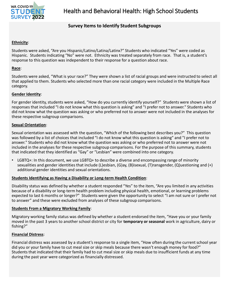

## **Survey Items to Identify Student Subgroups**

## **Ethnicity**:

Students were asked, "Are you Hispanic/Latino/Latina/Latinx?" Students who indicated "Yes" were coded as Hispanic. Students indicating "No" were not. Ethnicity was treated separately from race. That is, a student's response to this question was independent to their response for a question about race.

## **Race**:

Students were asked, "What is your race?" They were shown a list of racial groups and were instructed to select all that applied to them. Students who selected more than one racial category were included in the Multiple Race category.

## **Gender Identity**:

For gender identity, students were asked, "How do you currently identify yourself?" Students were shown a list of responses that included "I do not know what this question is asking" and "I prefer not to answer." Students who did not know what the question was asking or who preferred not to answer were not included in the analyses for these respective subgroup comparisons.

## **Sexual Orientation**:

Sexual orientation was assessed with the question, "Which of the following best describes you?" This question was followed by a list of choices that included "I do not know what this question is asking" and "I prefer not to answer." Students who did not know what the question was asking or who preferred not to answer were not included in the analyses for these respective subgroup comparisons. For the purpose of this summary, students that indicated that they identified as "Gay" or "Lesbian" were combined into one category.

LGBTQ+: In this document, we use LGBTQ+ to describe a diverse and encompassing range of minority sexualities and gender identities that include (L)esbian, (G)ay, (B)isexual, (T)ransgender, (Q)uestioning and (+) additional gender identities and sexual orientations.

## **Students Identifying as Having a Disability or Long-term Health Condition**:

Disability status was defined by whether a student responded "Yes" to the item, "Are you limited in any activities because of a disability or long-term health problem including physical health, emotional, or learning problems expected to last 6 months or longer?" Students were given the opportunity to select "I am not sure or I prefer not to answer" and these were excluded from analyses of these subgroup comparisons.

## **Students From a Migratory Working Family**:

Migratory working family status was defined by whether a student endorsed the item, "Have you or your family moved in the past 3 years to another school district or city for **temporary or seasonal** work in agriculture, dairy or fishing?"

## **Financial Distress**:

Financial distress was assessed by a student's response to a single item, "How often during the current school year did you or your family have to cut meal size or skip meals because there wasn't enough money for food?" Students that indicated that their family had to cut meal size or skip meals due to insufficient funds at any time during the past year were categorized as financially distressed.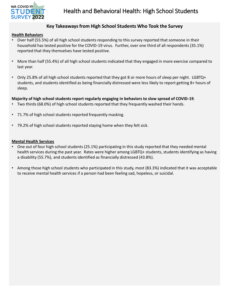

## **Key Takeaways from High School Students Who Took the Survey**

#### **Health Behaviors**

- Over half (55.5%) of all high school students responding to this survey reported that someone in their household has tested positive for the COVID-19 virus. Further, over one third of all respondents (35.1%) reported that they themselves have tested positive.
- More than half (55.4%) of all high school students indicated that they engaged in more exercise compared to last year.
- Only 25.8% of all high school students reported that they got 8 or more hours of sleep per night. LGBTQ+ students, and students identified as being financially distressed were less likely to report getting 8+ hours of sleep.

## **Majority of high school students report regularly engaging in behaviors to slow spread of COVID-19**.

- Two thirds (68.0%) of high school students reported that they frequently washed their hands.
- 71.7% of high school students reported frequently masking.
- 79.2% of high school students reported staying home when they felt sick.

## **Mental Health Services**

- One out of four high school students (25.1%) participating in this study reported that they needed mental health services during the past year. Rates were higher among LGBTQ+ students, students identifying as having a disability (55.7%), and students identified as financially distressed (43.8%).
- Among those high school students who participated in this study, most (83.3%) indicated that it was acceptable to receive mental health services if a person had been feeling sad, hopeless, or suicidal.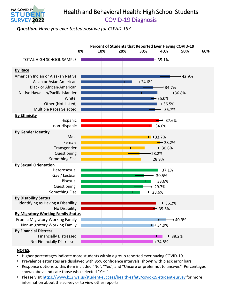

## Health and Behavioral Health: High School Students COVID-19 Diagnosis

*Question: Have you ever tested positive for COVID-19?* 



- Higher percentages indicate more students within a group reported ever having COVID-19.
- Prevalence estimates are displayed with 95% confidence intervals, shown with black error bars.
- Response options to this item included "No", "Yes", and "Unsure or prefer not to answer." Percentages shown above indicate those who selected "Yes."
- Please visit <https://www.k12.wa.us/student-success/health-safety/covid-19-student-survey>for more information about the survey or to view other reports.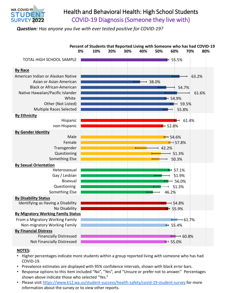

## Health and Behavioral Health: High School Students COVID-19 Diagnosis (Someone they live with)

*Question: Has anyone you live with ever tested positive for COVID-19?* 



- Higher percentages indicate more students within a group reported living with someone who has had COVID-19.
- Prevalence estimates are displayed with 95% confidence intervals, shown with black error bars.
- Response options to this item included "No", "Yes", and "Unsure or prefer not to answer." Percentages shown above indicate those who selected "Yes."
- Please visit <https://www.k12.wa.us/student-success/health-safety/covid-19-student-survey>for more information about the survey or to view other reports.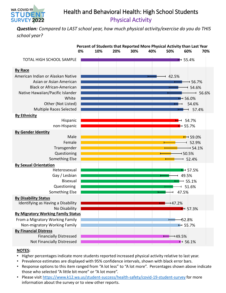

## Health and Behavioral Health: High School Students Physical Activity

*Question: Compared to LAST school year, how much physical activity/exercise do you do THIS school year?* 



- Higher percentages indicate more students reported increased physical activity relative to last year.
- Prevalence estimates are displayed with 95% confidence intervals, shown with black error bars.
- Response options to this item ranged from "A lot less" to "A lot more". Percentages shown above indicate those who selected "A little bit more" or "A lot more".
- Please visit <https://www.k12.wa.us/student-success/health-safety/covid-19-student-survey>for more information about the survey or to view other reports.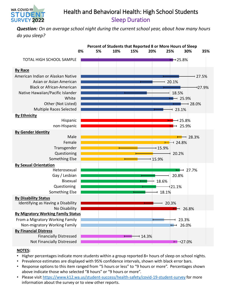

## Health and Behavioral Health: High School Students Sleep Duration

*Question: On an average school night during the current school year, about how many hours do you sleep?* 



- Higher percentages indicate more students within a group reported 8+ hours of sleep on school nights.
- Prevalence estimates are displayed with 95% confidence intervals, shown with black error bars.
- Response options to this item ranged from "5 hours or less" to "9 hours or more". Percentages shown above indicate those who selected "8 hours" or "9 hours or more".
- Please visit <https://www.k12.wa.us/student-success/health-safety/covid-19-student-survey>for more information about the survey or to view other reports.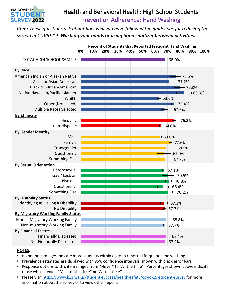

## Health and Behavioral Health: High School Students Prevention Adherence: Hand Washing

*Item: These questions ask about how well you have followed the guidelines for reducing the spread of COVID-19: Washing your hands or using hand sanitizer between activities.* 



- Higher percentages indicate more students within a group reported frequent hand washing.
- Prevalence estimates are displayed with 95% confidence intervals, shown with black error bars.
- Response options to this item ranged from "Never" to "All the time". Percentages shown above indicate those who selected "Most of the time" or "All the time".
- Please visit <https://www.k12.wa.us/student-success/health-safety/covid-19-student-survey>for more information about the survey or to view other reports.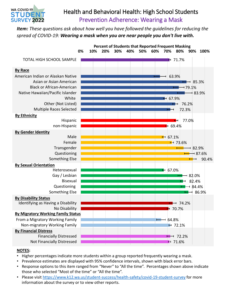

## Health and Behavioral Health: High School Students Prevention Adherence: Wearing a Mask

*Item: These questions ask about how well you have followed the guidelines for reducing the spread of COVID-19: Wearing a mask when you are near people you don't live with.* 



- Higher percentages indicate more students within a group reported frequently wearing a mask.
- Prevalence estimates are displayed with 95% confidence intervals, shown with black error bars.
- Response options to this item ranged from "Never" to "All the time". Percentages shown above indicate those who selected "Most of the time" or "All the time".
- Please visit <https://www.k12.wa.us/student-success/health-safety/covid-19-student-survey>for more information about the survey or to view other reports.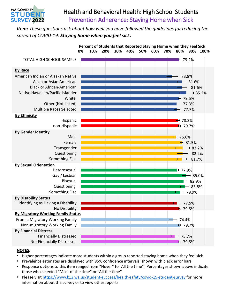

## Health and Behavioral Health: High School Students Prevention Adherence: Staying Home when Sick

*Item: These questions ask about how well you have followed the guidelines for reducing the spread of COVID-19: Staying home when you feel sick.* 



- Higher percentages indicate more students within a group reported staying home when they feel sick.
- Prevalence estimates are displayed with 95% confidence intervals, shown with black error bars.
- Response options to this item ranged from "Never" to "All the time". Percentages shown above indicate those who selected "Most of the time" or "All the time".
- Please visit <https://www.k12.wa.us/student-success/health-safety/covid-19-student-survey>for more information about the survey or to view other reports.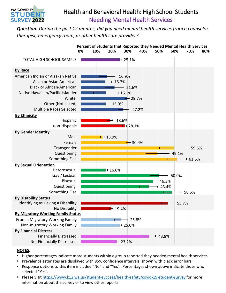

## Health and Behavioral Health: High School Students Needing Mental Health Services

*Question: During the past 12 months, did you need mental health services from a counselor, therapist, emergency room, or other health care provider?* 



## **Percent of Students that Reported they Needed Mental Health Services**

- Higher percentages indicate more students within a group reported they needed mental health services.
- Prevalence estimates are displayed with 95% confidence intervals, shown with black error bars.
- Response options to this item included "No" and "Yes". Percentages shown above indicate those who selected "Yes".
- Please visit <https://www.k12.wa.us/student-success/health-safety/covid-19-student-survey>for more information about the survey or to view other reports.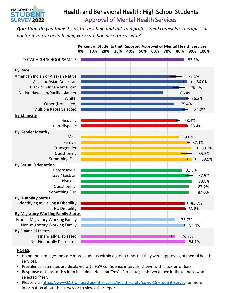

## Health and Behavioral Health: High School Students Approval of Mental Health Services

*Question: Do you think it's ok to seek help and talk to a professional counselor, therapist, or doctor if you've been feeling very sad, hopeless, or suicidal?* 



- Higher percentages indicate more students within a group reported they were approving of mental health services.
- Prevalence estimates are displayed with 95% confidence intervals, shown with black error bars.
- Response options to this item included "No" and "Yes". Percentages shown above indicate those who selected "Yes".
- Please visit <https://www.k12.wa.us/student-success/health-safety/covid-19-student-survey>for more information about the survey or to view other reports.